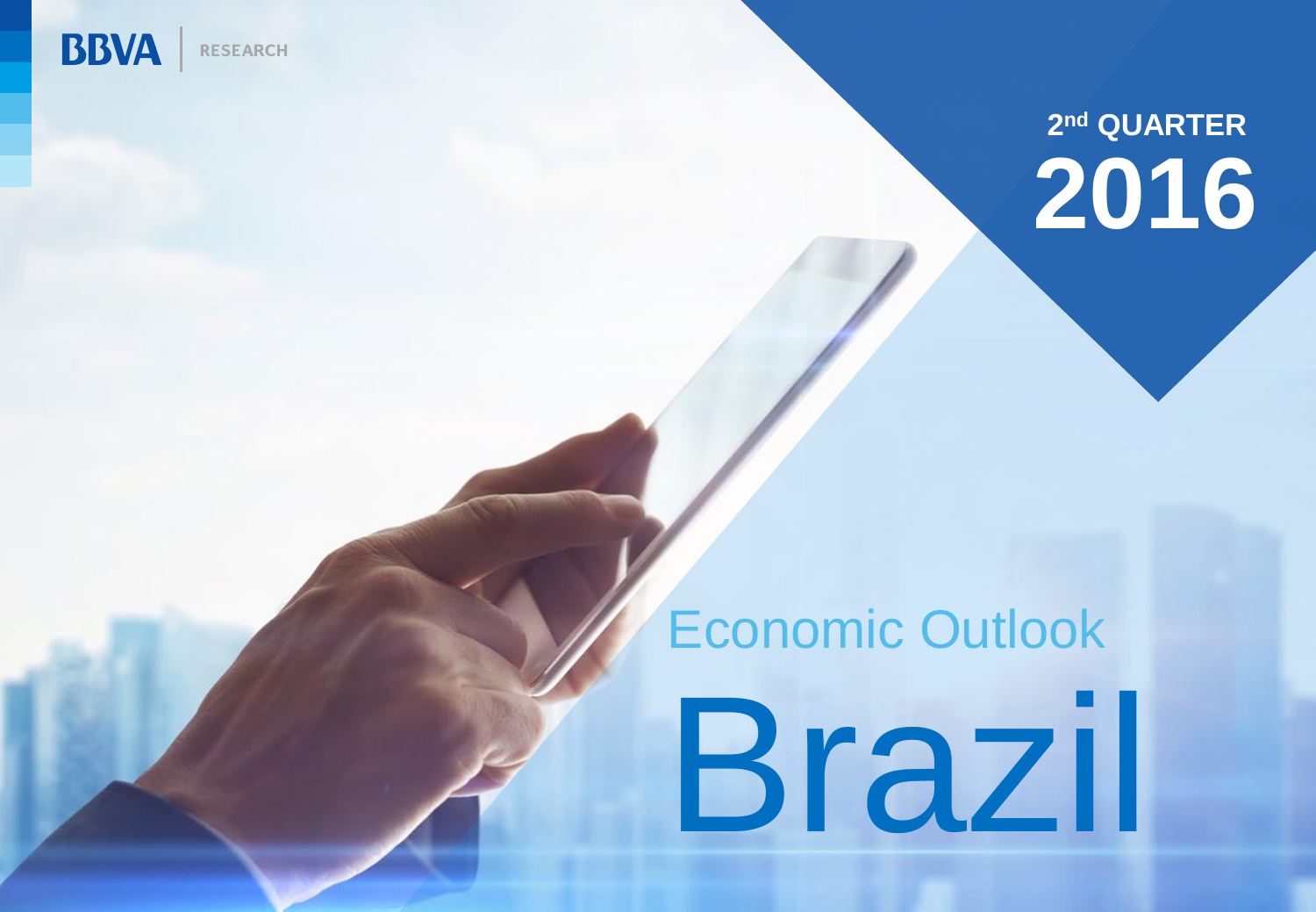

## **2 nd QUARTER 2016**

## Brazil Economic Outlook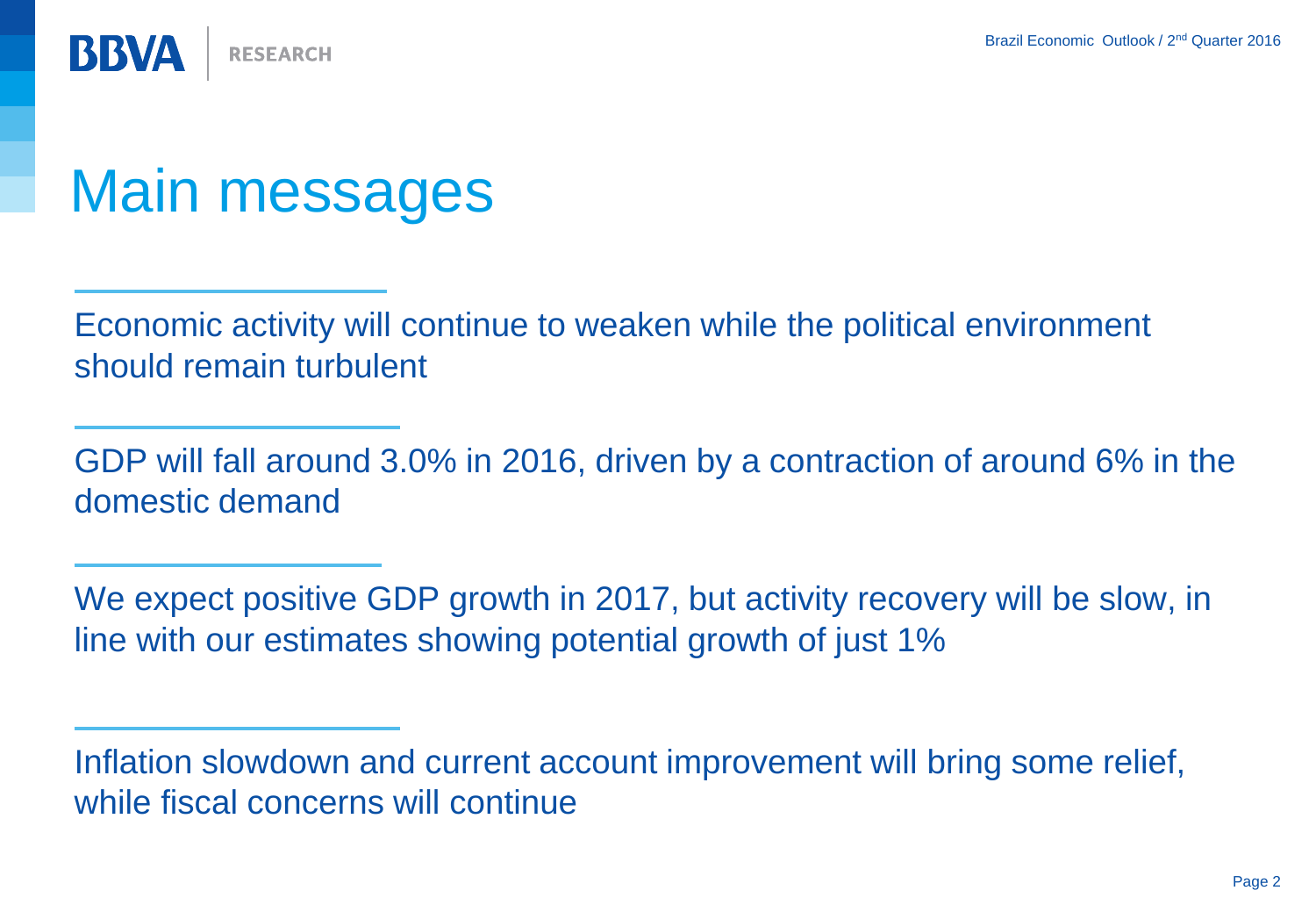**BBVA RESEARCH** 

## Main messages

Economic activity will continue to weaken while the political environment should remain turbulent

GDP will fall around 3.0% in 2016, driven by a contraction of around 6% in the domestic demand

We expect positive GDP growth in 2017, but activity recovery will be slow, in line with our estimates showing potential growth of just 1%

Inflation slowdown and current account improvement will bring some relief, while fiscal concerns will continue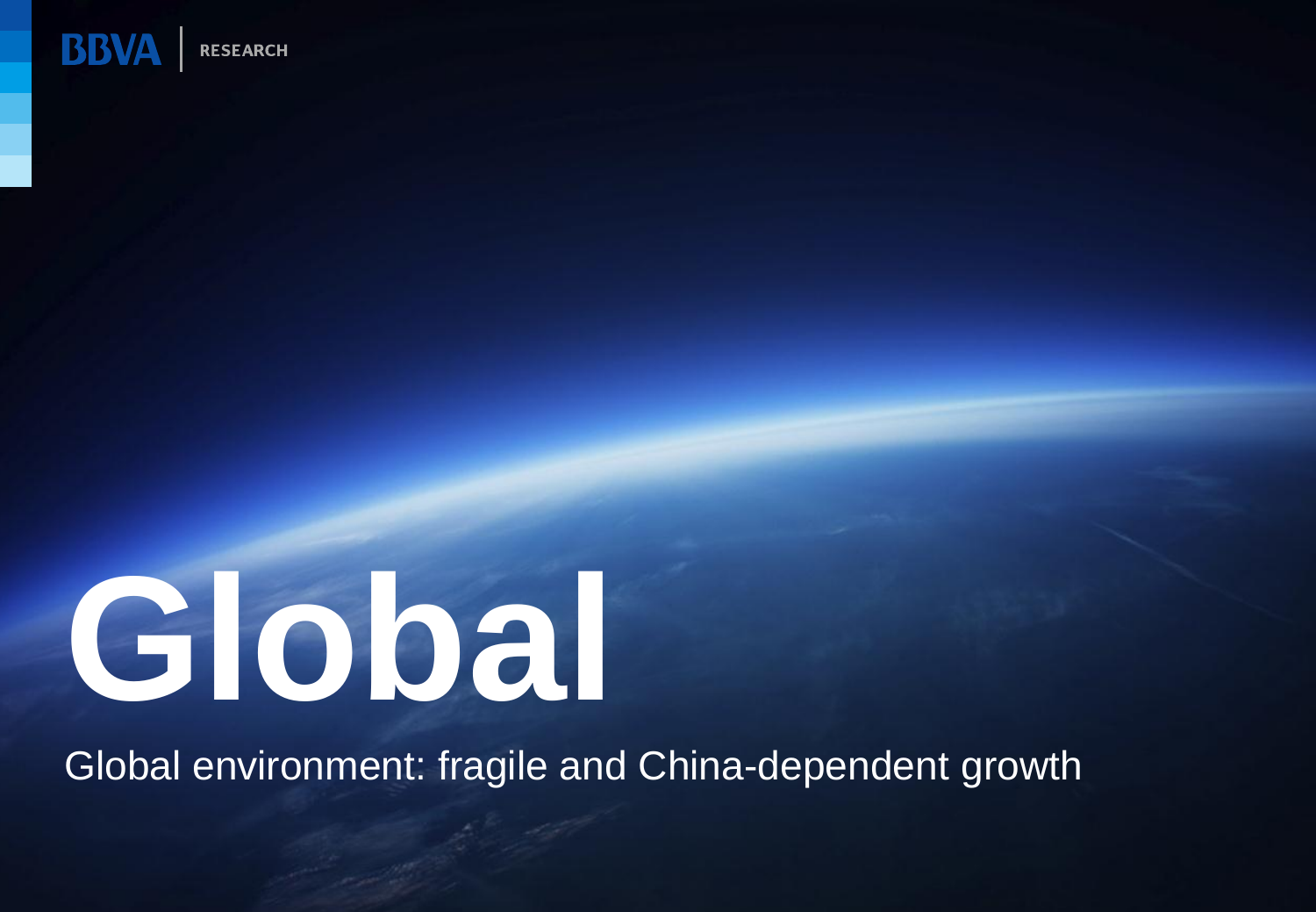

# **Global**

Global environment: fragile and China-dependent growth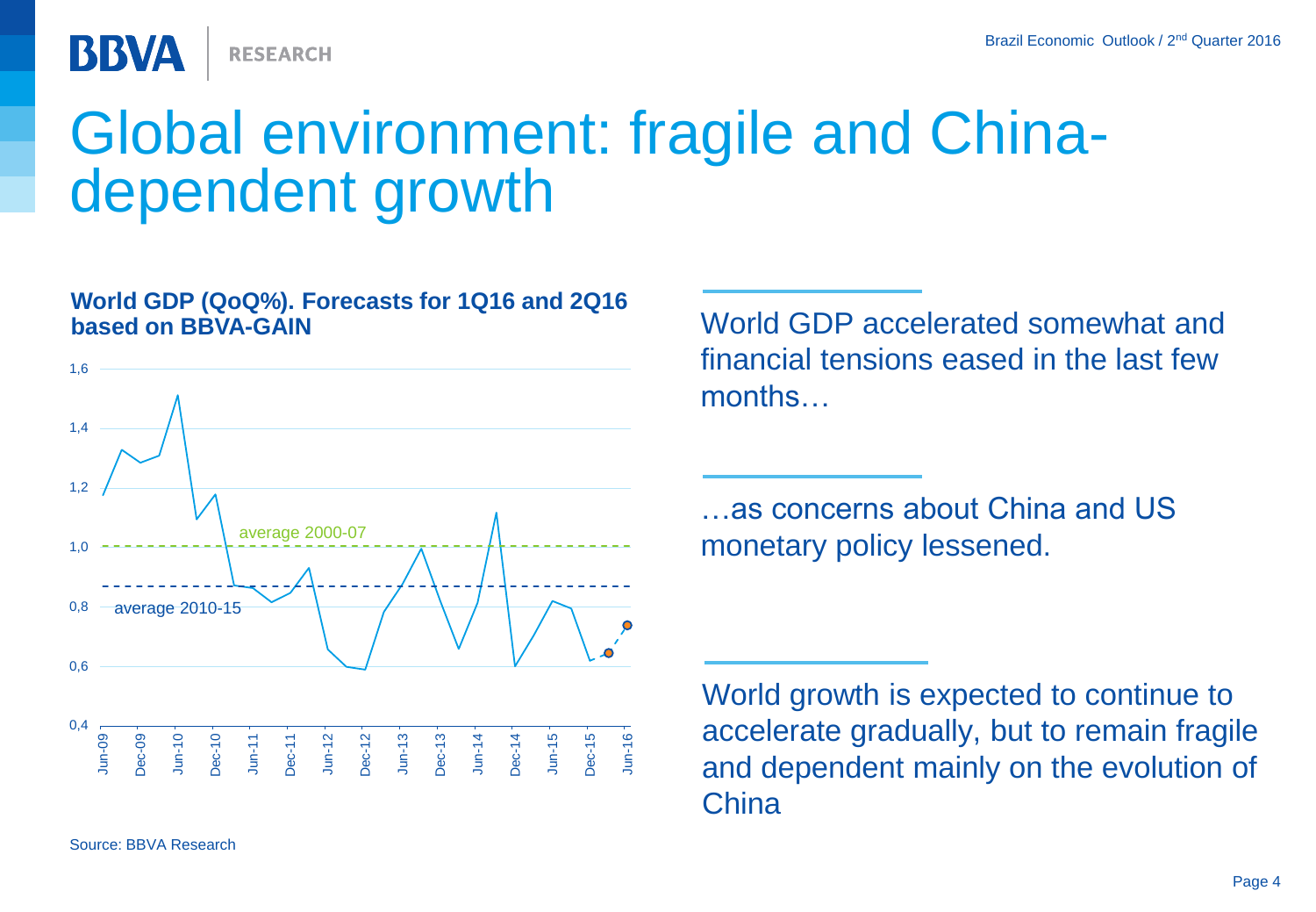**RESEARCH** 

**BBVA** 

## Global environment: fragile and Chinadependent growth

#### **World GDP (QoQ%). Forecasts for 1Q16 and 2Q16 based on BBVA-GAIN** MORE AND MORE WORLD GDP accelerated somewhat and



financial tensions eased in the last few months

…as concerns about China and US monetary policy lessened.

World growth is expected to continue to accelerate gradually, but to remain fragile and dependent mainly on the evolution of **China**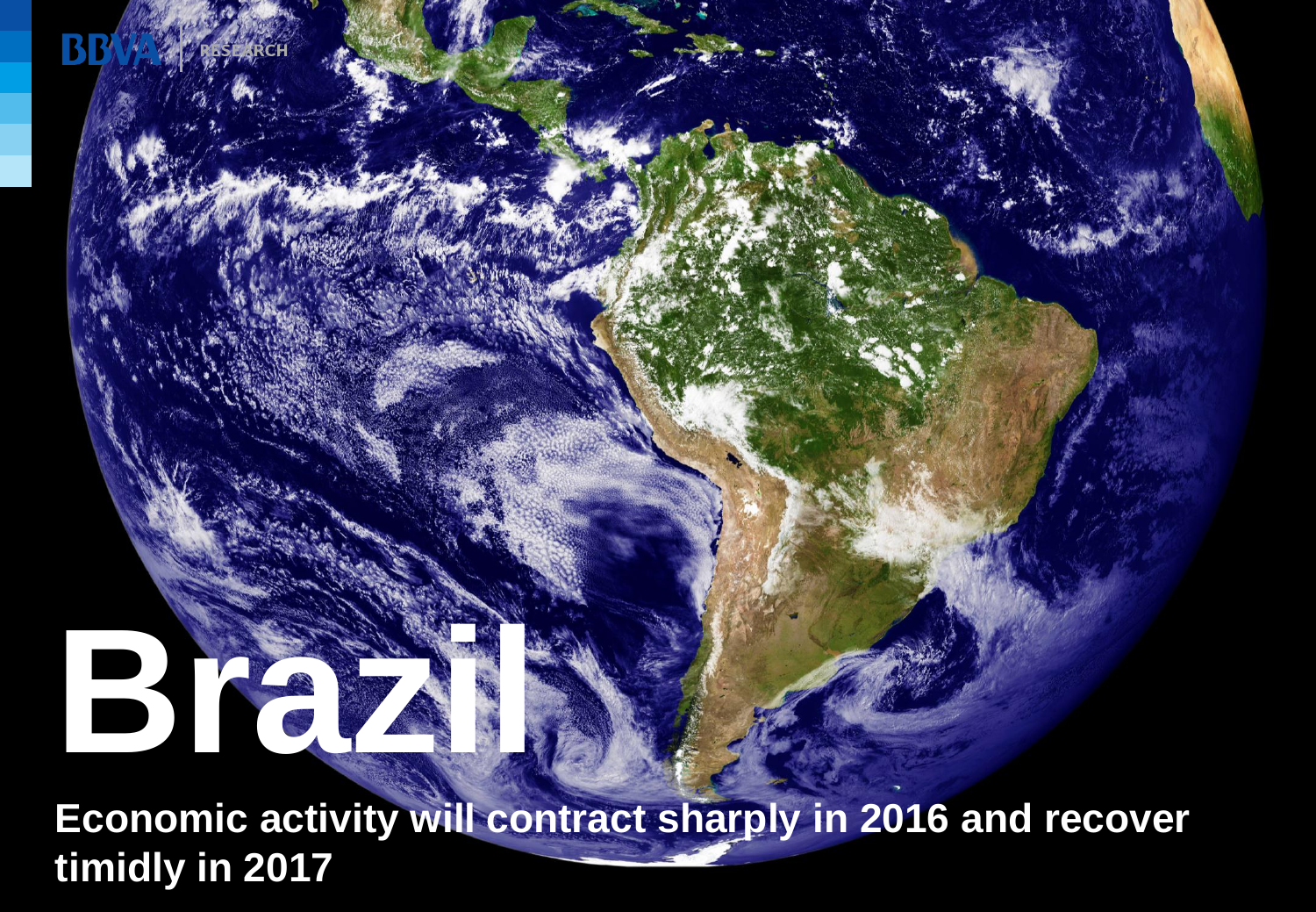# **Brazil Brazil Brazil Brazil Brazil Brazil Brazil Brazil Brazil Brazil Brazil Brazil Brazil Brazil Brazil Brazil Brazil Brazil Brazil Brazil Brazil Brazil Brazil Brazil Brazil Brazil Brazil Brazil Brazil Brazil Brazil Braz**

**Economic activity will contract sharply in 2016 and recover timidly in 2017**

Brazil Economic Outlook / 2nd Quarter 2016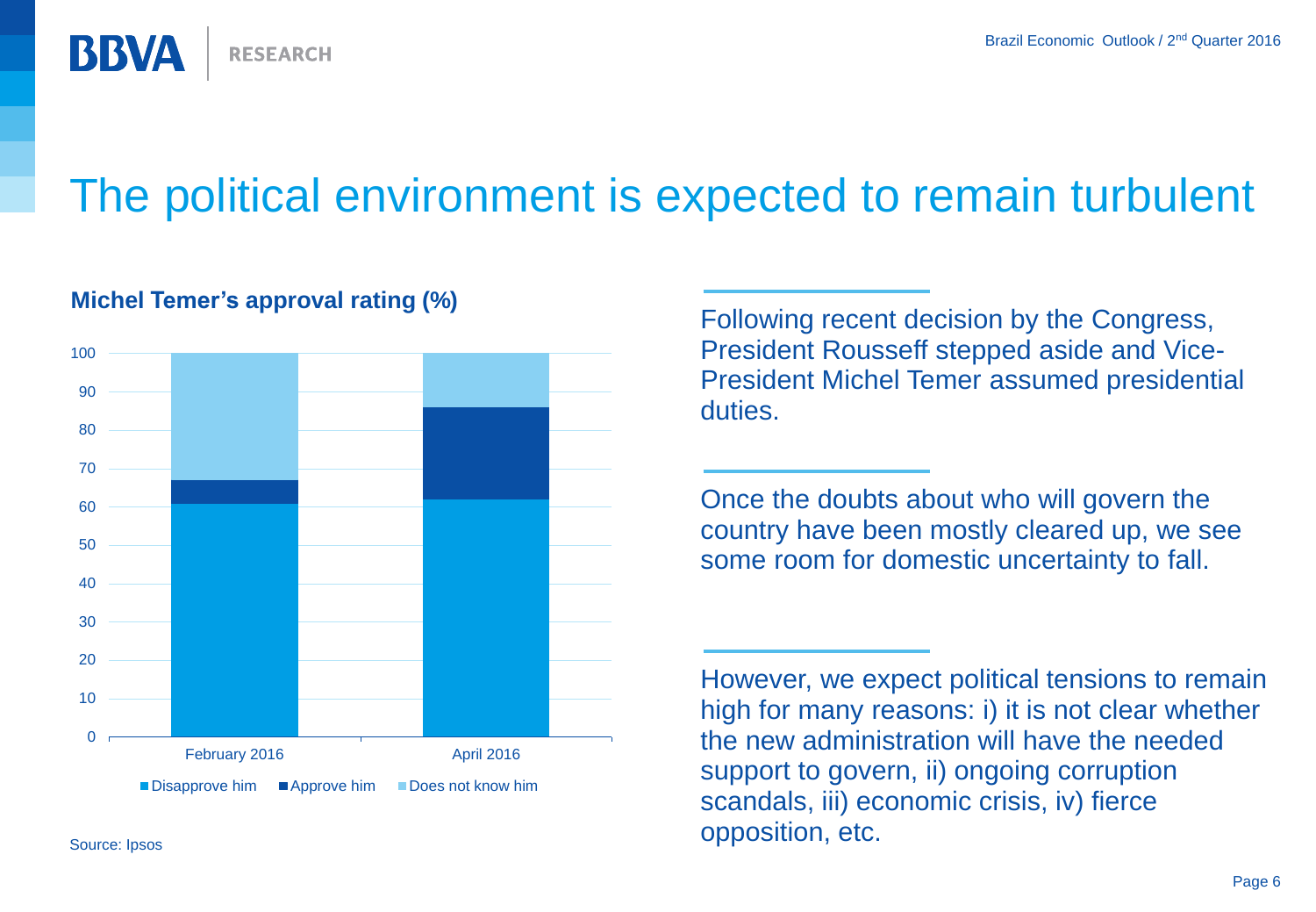

## The political environment is expected to remain turbulent



#### **Michel Temer's approval rating (%)**

Following recent decision by the Congress, President Rousseff stepped aside and Vice-President Michel Temer assumed presidential duties.

Once the doubts about who will govern the country have been mostly cleared up, we see some room for domestic uncertainty to fall.

However, we expect political tensions to remain high for many reasons: i) it is not clear whether the new administration will have the needed support to govern, ii) ongoing corruption scandals, iii) economic crisis, iv) fierce opposition, etc.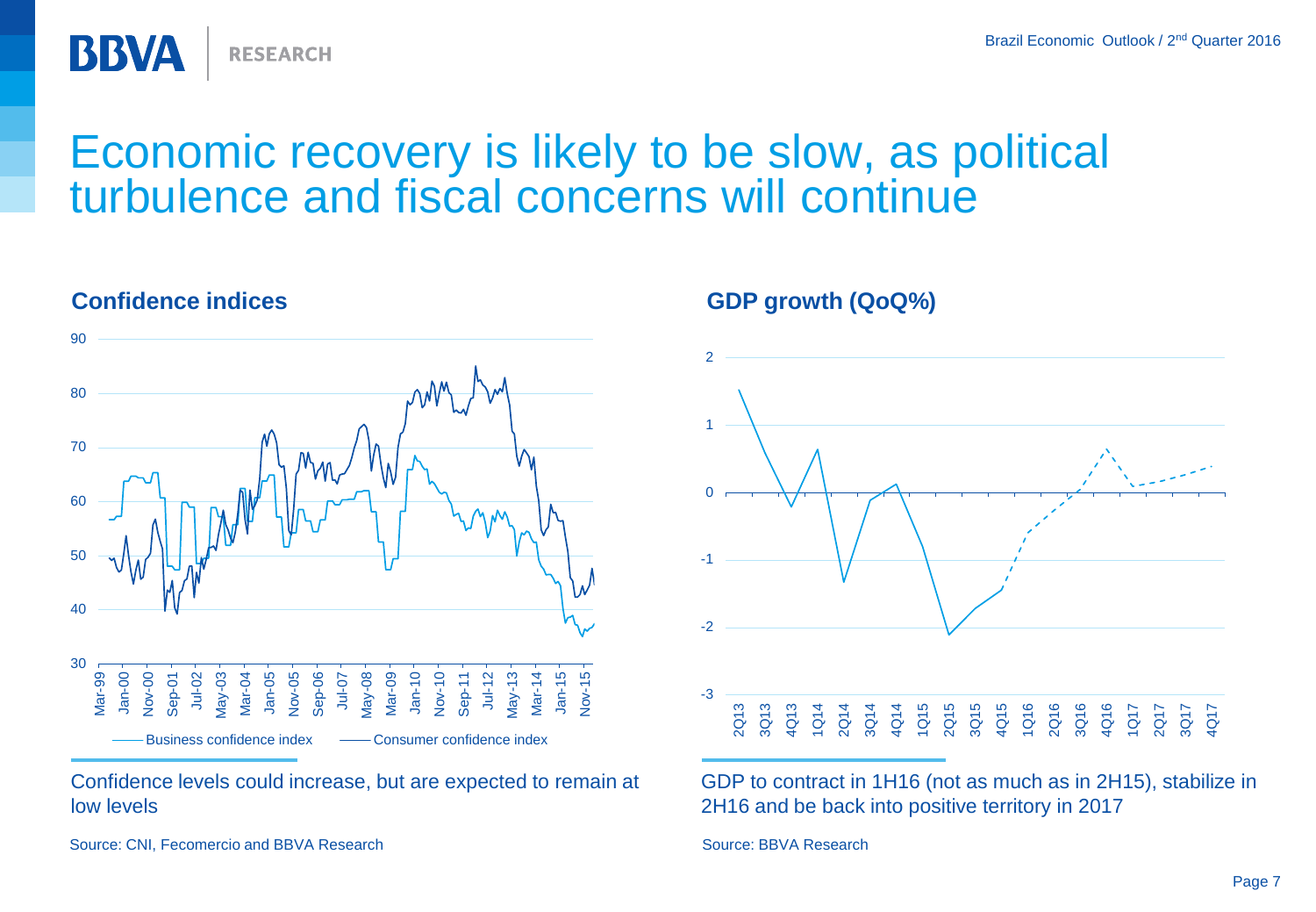



**RESEARCH** 

#### Confidence levels could increase, but are expected to remain at low levels

Source: CNI, Fecomercio and BBVA Research Source: BBVA Research Source: BBVA Research

**BBVA** 

**GDP growth (QoQ%)**



GDP to contract in 1H16 (not as much as in 2H15), stabilize in 2H16 and be back into positive territory in 2017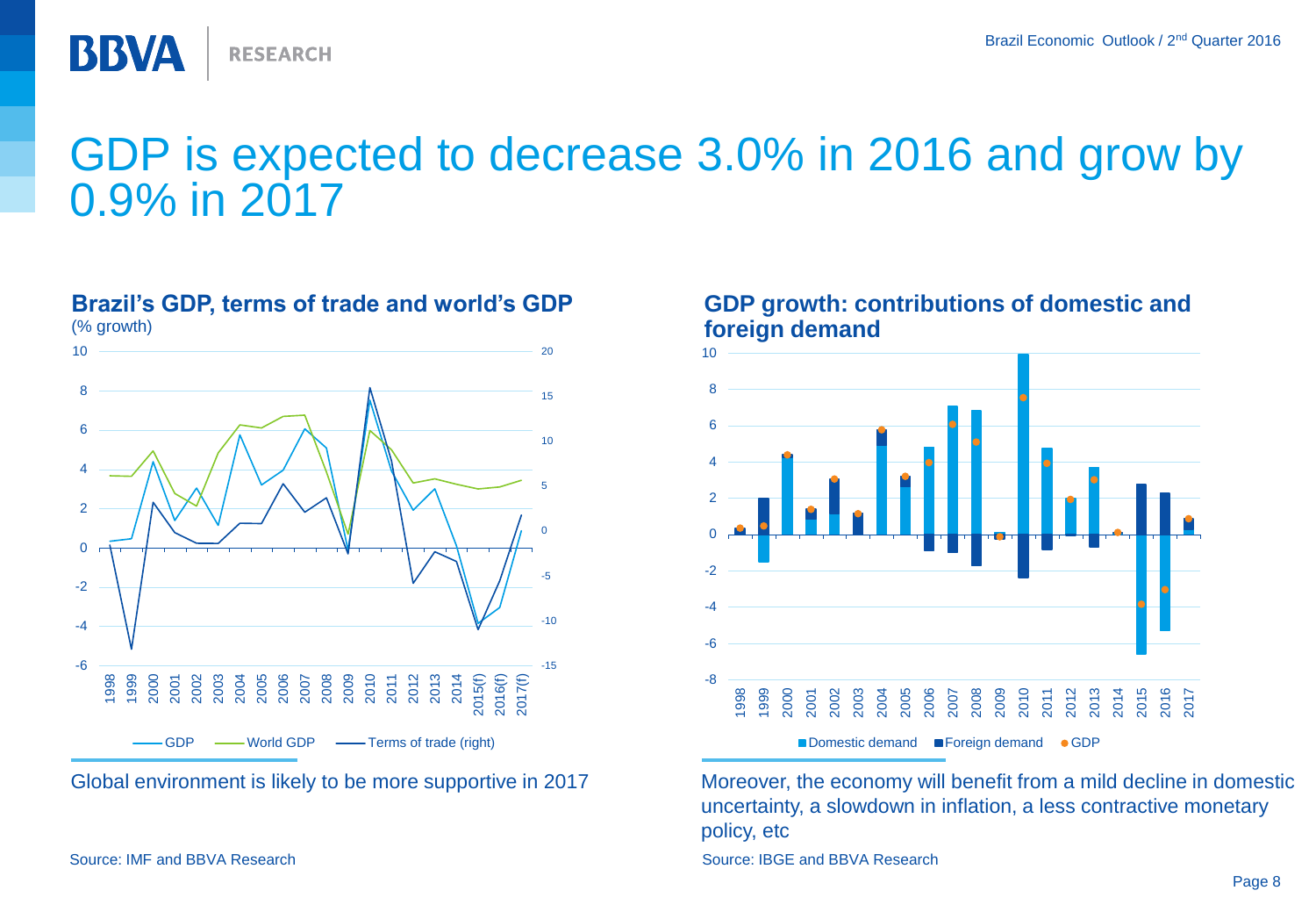

## GDP is expected to decrease 3.0% in 2016 and grow by 0.9% in 2017

#### (% growth)  $-15$ -10 -5 0 5 10 15 20 -6 -4 -2 0 2 4 6 8 10 1998 9<br>2005 2008 2006<br>2008 2008 2008 2009 2010 2011 2012 2013 2014 2015(f) 2016(f) 2017(f) GDP - World GDP - Terms of trade (right)

**Brazil's GDP, terms of trade and world's GDP**

Global environment is likely to be more supportive in 2017



#### **GDP growth: contributions of domestic and foreign demand**

Moreover, the economy will benefit from a mild decline in domestic uncertainty, a slowdown in inflation, a less contractive monetary policy, etc

Source: IMF and BBVA Research Source: IBGE and BBVA Research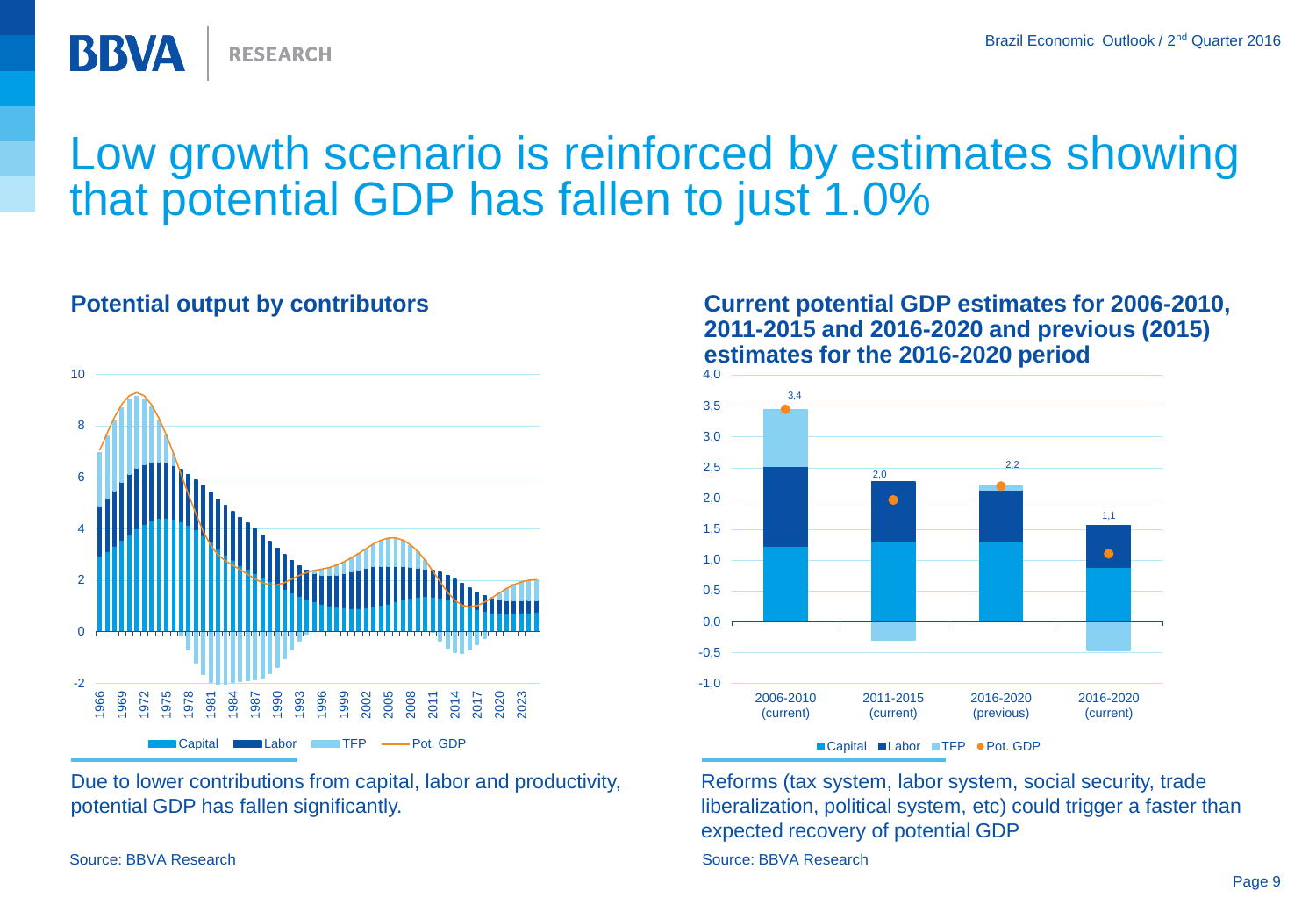

## Low growth scenario is reinforced by estimates showing that potential GDP has fallen to just 1.0%



Due to lower contributions from capital, labor and productivity, potential GDP has fallen significantly.

#### **Potential output by contributors Current potential GDP estimates for 2006-2010, 2011-2015 and 2016-2020 and previous (2015) estimates for the 2016-2020 period**





Source: BBVA Research Source: BBVA Research Source: BBVA Research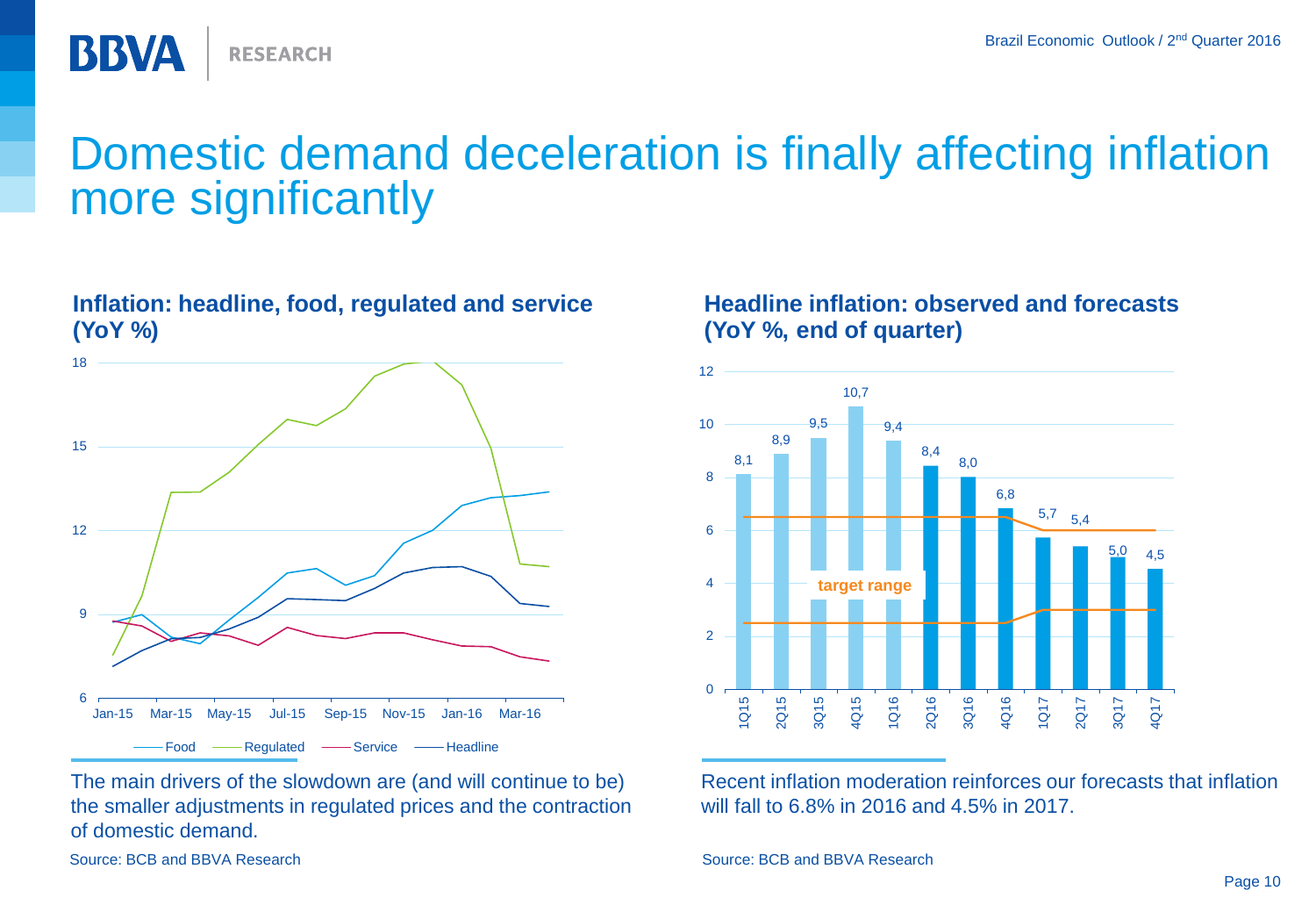

## Domestic demand deceleration is finally affecting inflation more significantly

#### **Inflation: headline, food, regulated and service (YoY %)**



The main drivers of the slowdown are (and will continue to be) the smaller adjustments in regulated prices and the contraction of domestic demand.

#### **Headline inflation: observed and forecasts (YoY %, end of quarter)**



Recent inflation moderation reinforces our forecasts that inflation will fall to 6.8% in 2016 and 4.5% in 2017.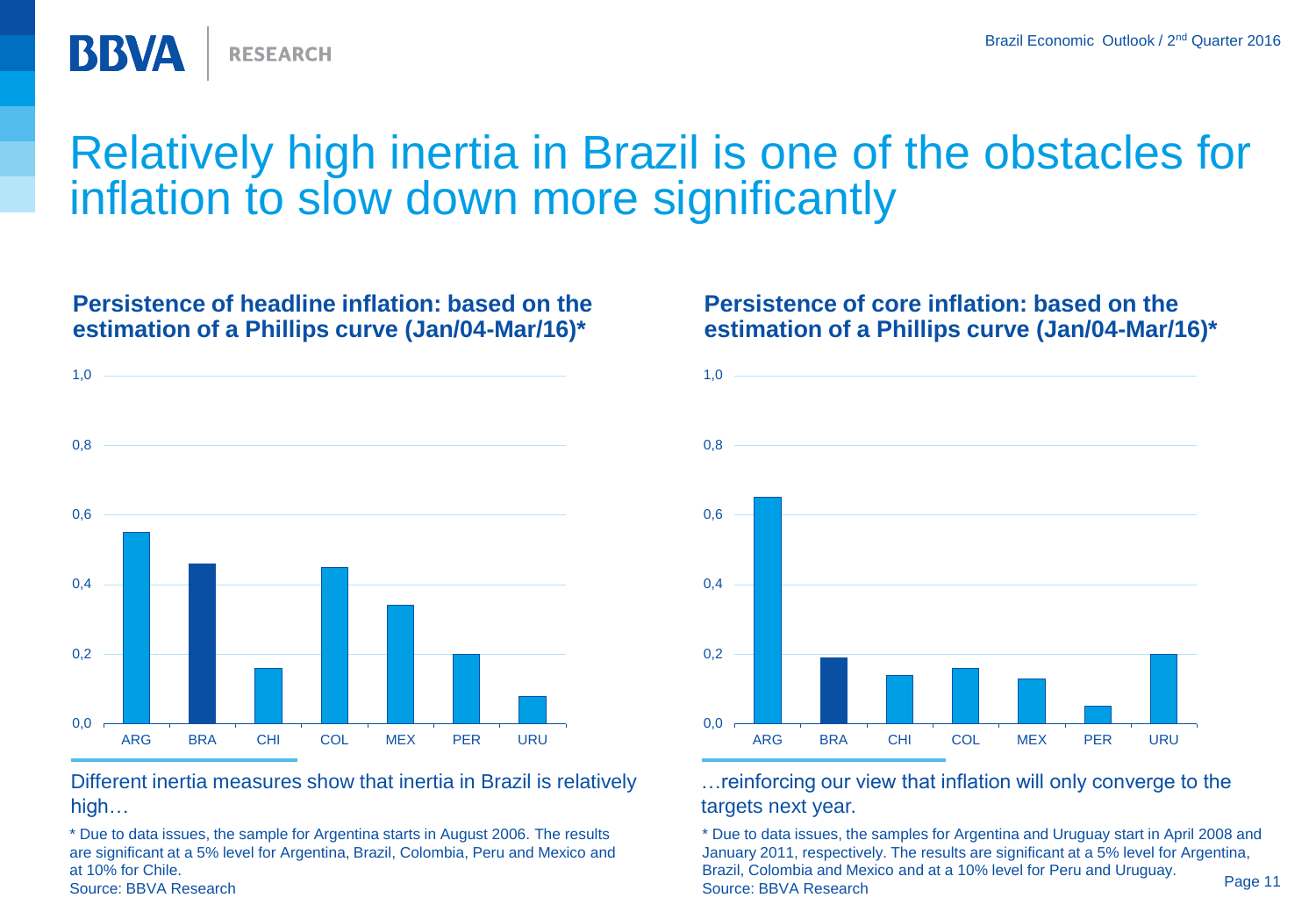

## Relatively high inertia in Brazil is one of the obstacles for inflation to slow down more significantly

#### **Persistence of headline inflation: based on the estimation of a Phillips curve (Jan/04-Mar/16)\***



Different inertia measures show that inertia in Brazil is relatively high…

\* Due to data issues, the sample for Argentina starts in August 2006. The results are significant at a 5% level for Argentina, Brazil, Colombia, Peru and Mexico and at 10% for Chile. Source: BBVA Research

#### **Persistence of core inflation: based on the estimation of a Phillips curve (Jan/04-Mar/16)\***



…reinforcing our view that inflation will only converge to the targets next year.

\* Due to data issues, the samples for Argentina and Uruguay start in April 2008 and January 2011, respectively. The results are significant at a 5% level for Argentina, Brazil, Colombia and Mexico and at a 10% level for Peru and Uruguay. Source: BBVA Research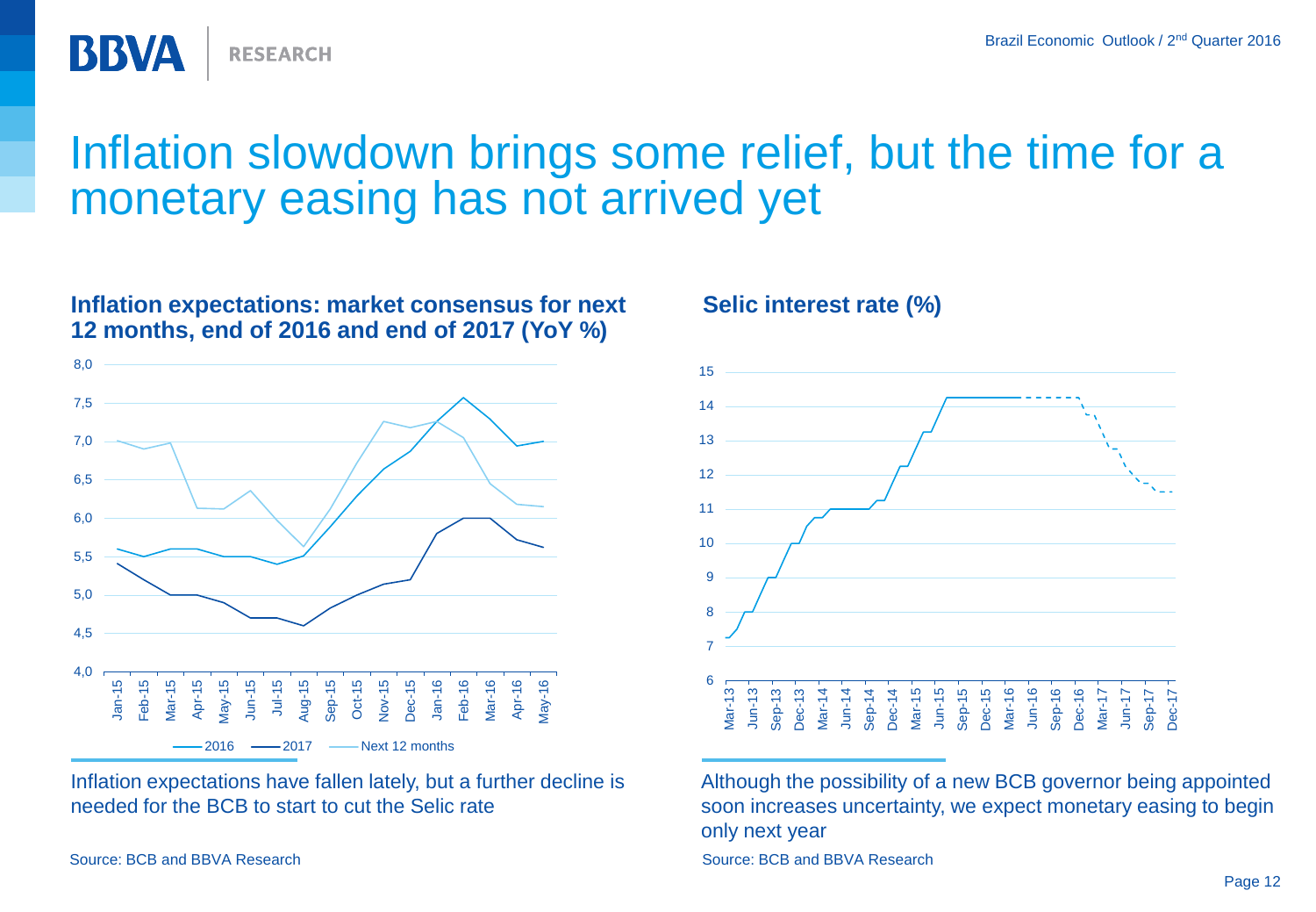Inflation slowdown brings some relief, but the time for a monetary easing has not arrived yet



Inflation expectations have fallen lately, but a further decline is needed for the BCB to start to cut the Selic rate

Source: BCB and BBVA Research Source: BCB and BBVA Research Source: BCB and BBVA Research

BBVA

**RESEARCH** 





Although the possibility of a new BCB governor being appointed soon increases uncertainty, we expect monetary easing to begin only next year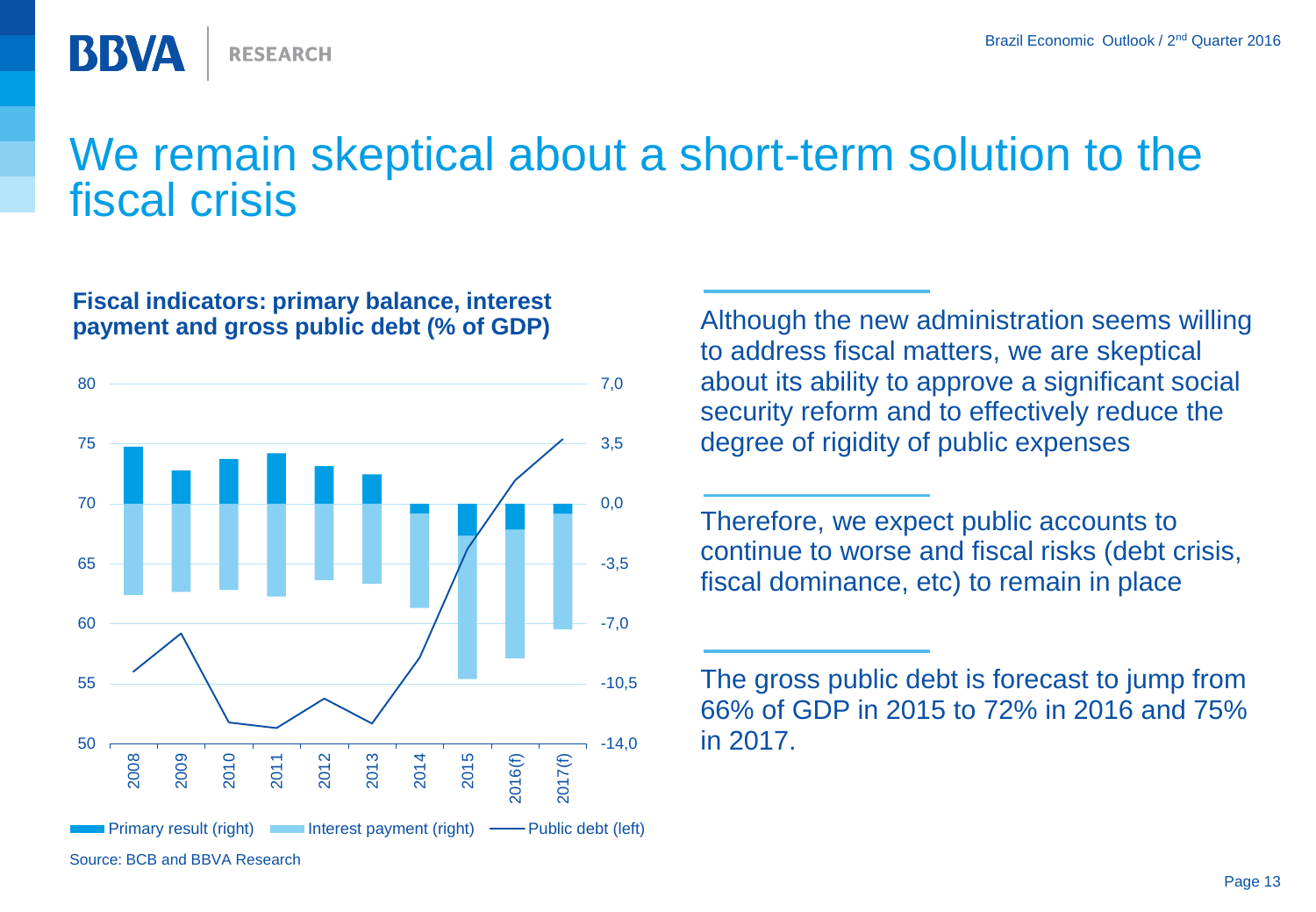

## We remain skeptical about a short-term solution to the fiscal crisis

#### **Fiscal indicators: primary balance, interest payment and gross public debt (% of GDP)**



Although the new administration seems willing to address fiscal matters, we are skeptical about its ability to approve a significant social security reform and to effectively reduce the degree of rigidity of public expenses

Therefore, we expect public accounts to continue to worse and fiscal risks (debt crisis, fiscal dominance, etc) to remain in place

The gross public debt is forecast to jump from 66% of GDP in 2015 to 72% in 2016 and 75% -14,0 in 2017.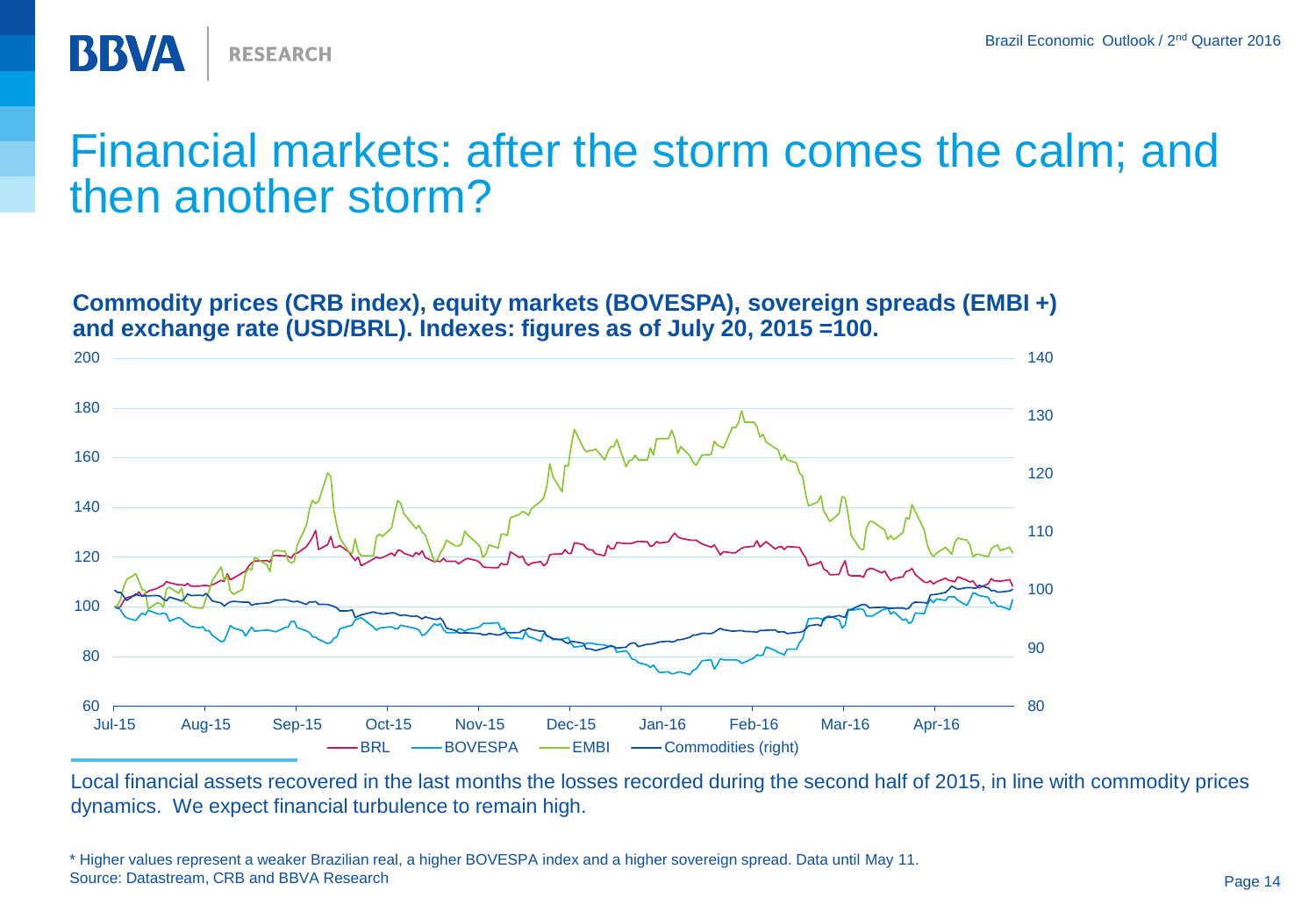

### Financial markets: after the storm comes the calm; and then another storm?

**Commodity prices (CRB index), equity markets (BOVESPA), sovereign spreads (EMBI +) and exchange rate (USD/BRL). Indexes: figures as of July 20, 2015 =100.**



Local financial assets recovered in the last months the losses recorded during the second half of 2015, in line with commodity prices dynamics. We expect financial turbulence to remain high.

<sup>\*</sup> Higher values represent a weaker Brazilian real, a higher BOVESPA index and a higher sovereign spread. Data until May 11. Source: Datastream, CRB and BBVA Research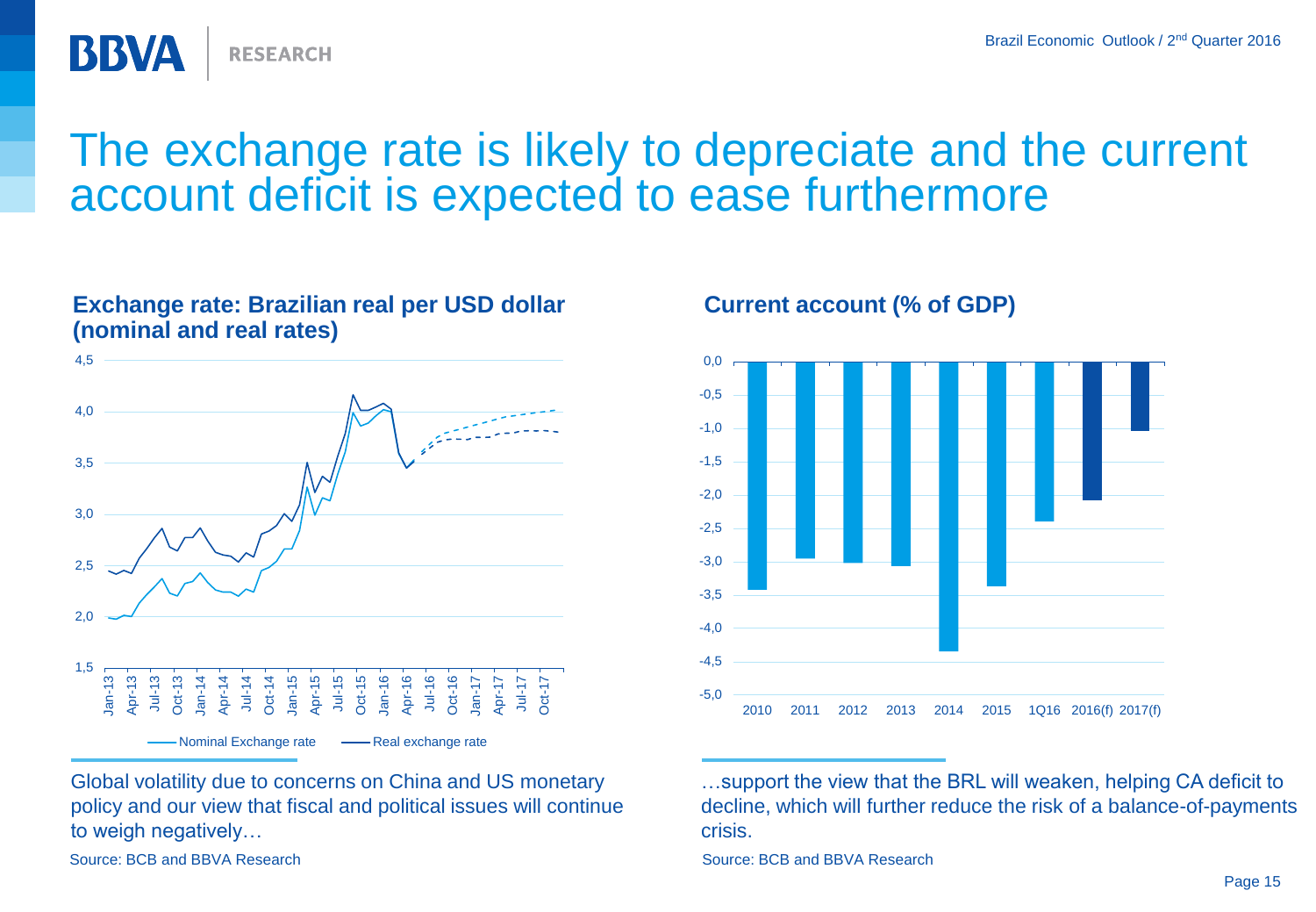

#### **(nominal and real rates)** 1,5 2,0 2,5 3,0 3,5 4,0 4,5 Jan-13 Apr-13 Jul-13 Oct-13 Jan-14 Apr-14 Jul-14 Oct-14 Jan-15 Apr-15 Jul-15 Oct-15 Jan-16 Apr-16 Jul-16 Oct-16 Jan-17 Apr-17 Jul-17 Oct-17 Nominal Exchange rate -- Real exchange rate

**Exchange rate: Brazilian real per USD dollar** 

**RESEARCH** 

Global volatility due to concerns on China and US monetary policy and our view that fiscal and political issues will continue to weigh negatively…

Source: BCB and BBVA Research Source: BCB and BBVA Research Source: BCB and BBVA Research

BBVA

#### **Current account (% of GDP)**



…support the view that the BRL will weaken, helping CA deficit to decline, which will further reduce the risk of a balance-of-payments crisis.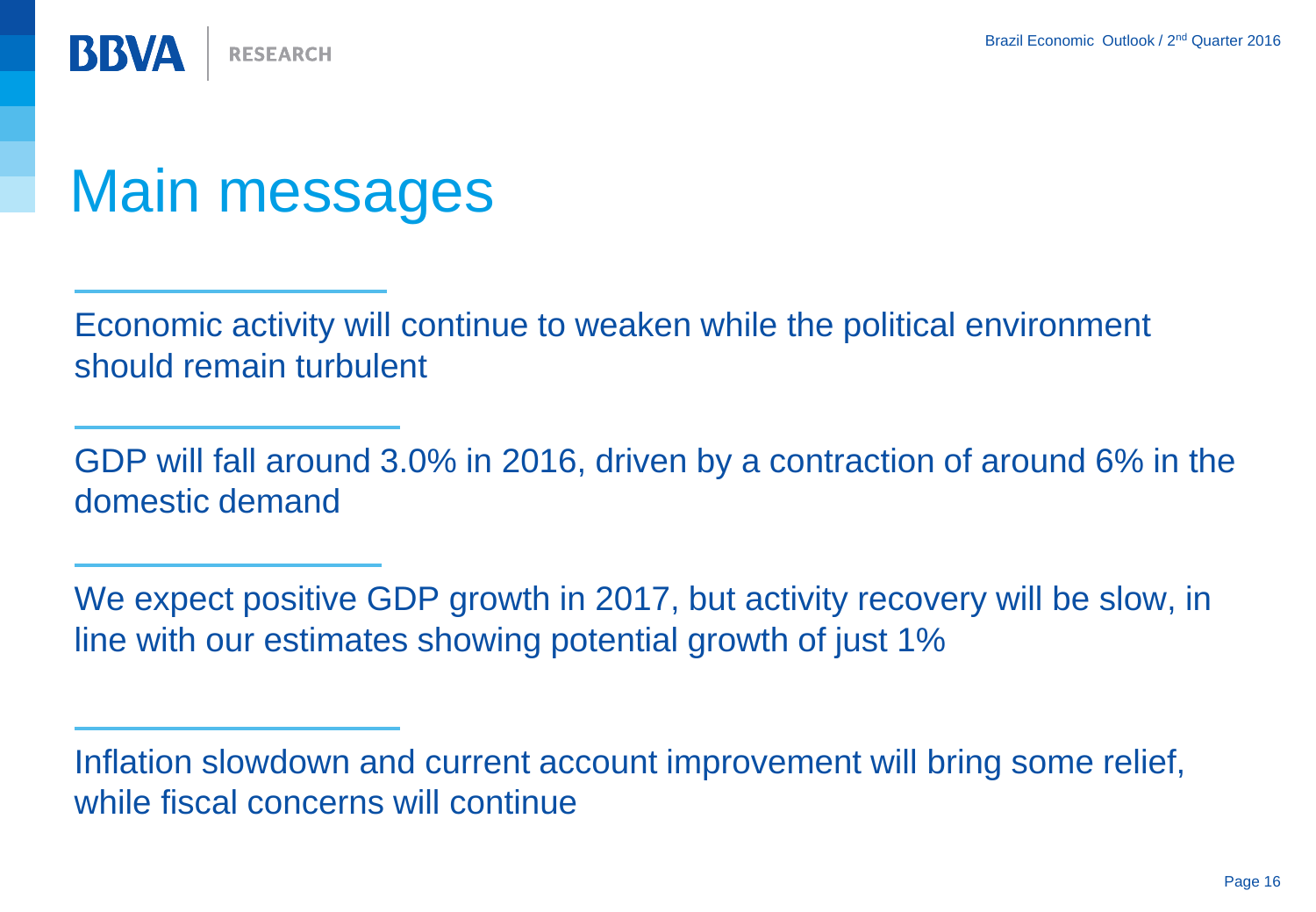**BBVA RESEARCH** 

## Main messages

Economic activity will continue to weaken while the political environment should remain turbulent

GDP will fall around 3.0% in 2016, driven by a contraction of around 6% in the domestic demand

We expect positive GDP growth in 2017, but activity recovery will be slow, in line with our estimates showing potential growth of just 1%

Inflation slowdown and current account improvement will bring some relief, while fiscal concerns will continue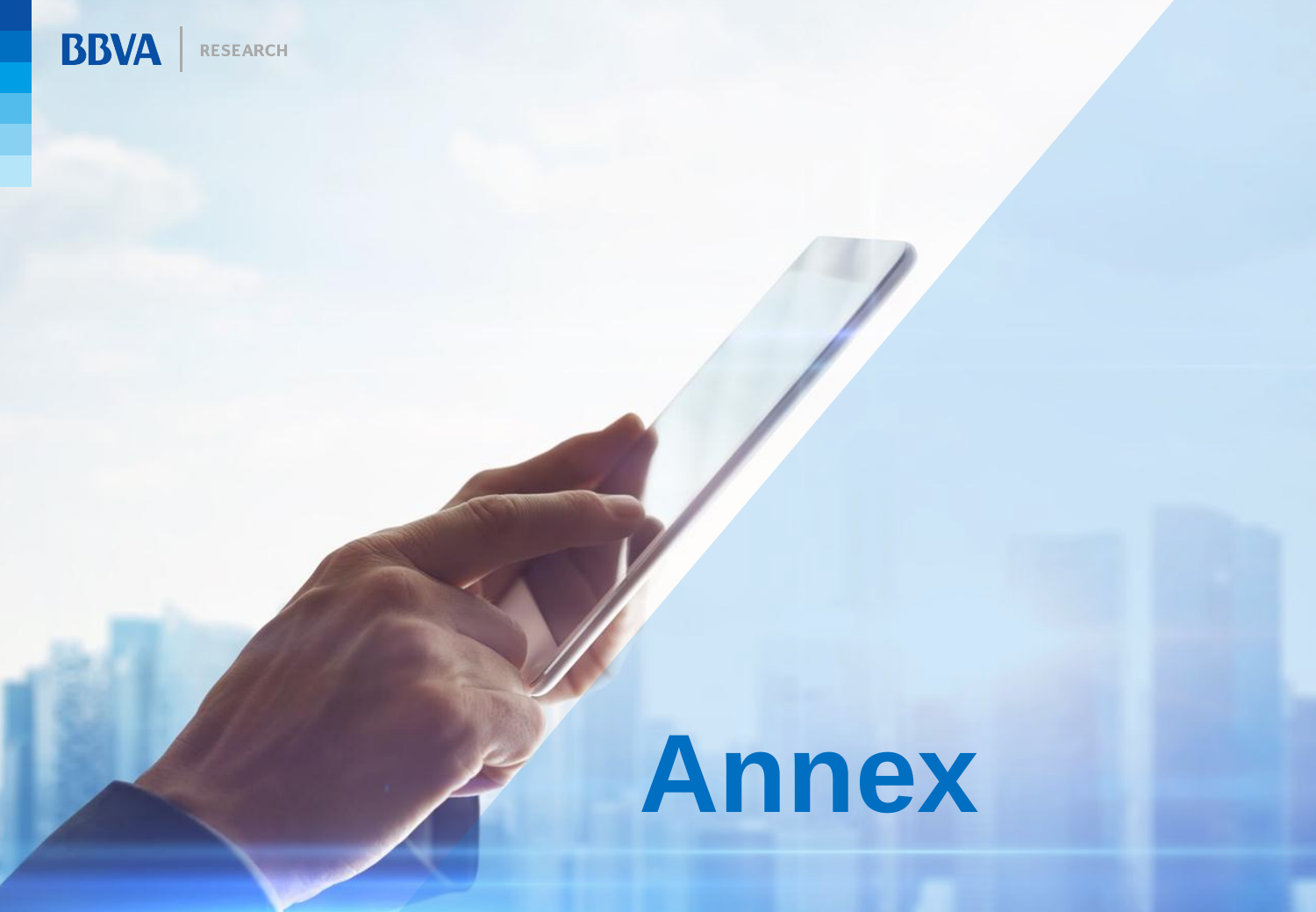

## **Annex**